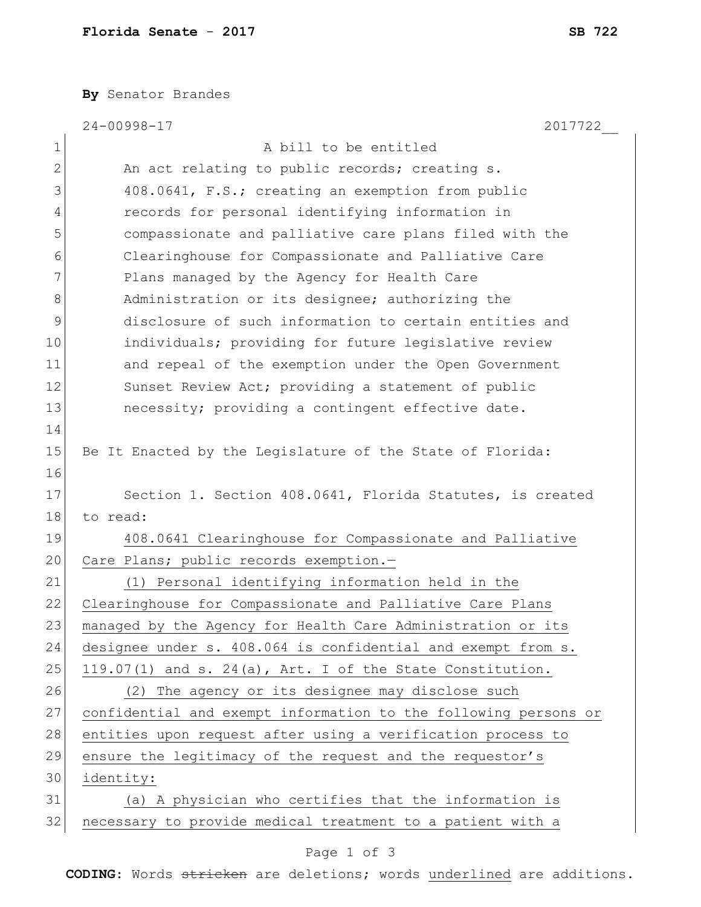**By** Senator Brandes

|             | 24-00998-17<br>2017722                                          |
|-------------|-----------------------------------------------------------------|
| $\mathbf 1$ | A bill to be entitled                                           |
| 2           | An act relating to public records; creating s.                  |
| 3           | 408.0641, F.S.; creating an exemption from public               |
| 4           | records for personal identifying information in                 |
| 5           | compassionate and palliative care plans filed with the          |
| 6           | Clearinghouse for Compassionate and Palliative Care             |
| 7           | Plans managed by the Agency for Health Care                     |
| 8           | Administration or its designee; authorizing the                 |
| 9           | disclosure of such information to certain entities and          |
| 10          | individuals; providing for future legislative review            |
| 11          | and repeal of the exemption under the Open Government           |
| 12          | Sunset Review Act; providing a statement of public              |
| 13          | necessity; providing a contingent effective date.               |
| 14          |                                                                 |
| 15          | Be It Enacted by the Legislature of the State of Florida:       |
| 16          |                                                                 |
| 17          | Section 1. Section 408.0641, Florida Statutes, is created       |
| 18          | to read:                                                        |
| 19          | 408.0641 Clearinghouse for Compassionate and Palliative         |
| 20          | Care Plans; public records exemption.-                          |
| 21          | (1) Personal identifying information held in the                |
| 22          | Clearinghouse for Compassionate and Palliative Care Plans       |
| 23          | managed by the Agency for Health Care Administration or its     |
| 24          | designee under s. 408.064 is confidential and exempt from s.    |
| 25          | $119.07(1)$ and s. 24(a), Art. I of the State Constitution.     |
| 26          | (2) The agency or its designee may disclose such                |
| 27          | confidential and exempt information to the following persons or |
| 28          | entities upon request after using a verification process to     |
| 29          | ensure the legitimacy of the request and the requestor's        |
| 30          | identity:                                                       |
| 31          | (a) A physician who certifies that the information is           |
| 32          | necessary to provide medical treatment to a patient with a      |

## Page 1 of 3

**CODING**: Words stricken are deletions; words underlined are additions.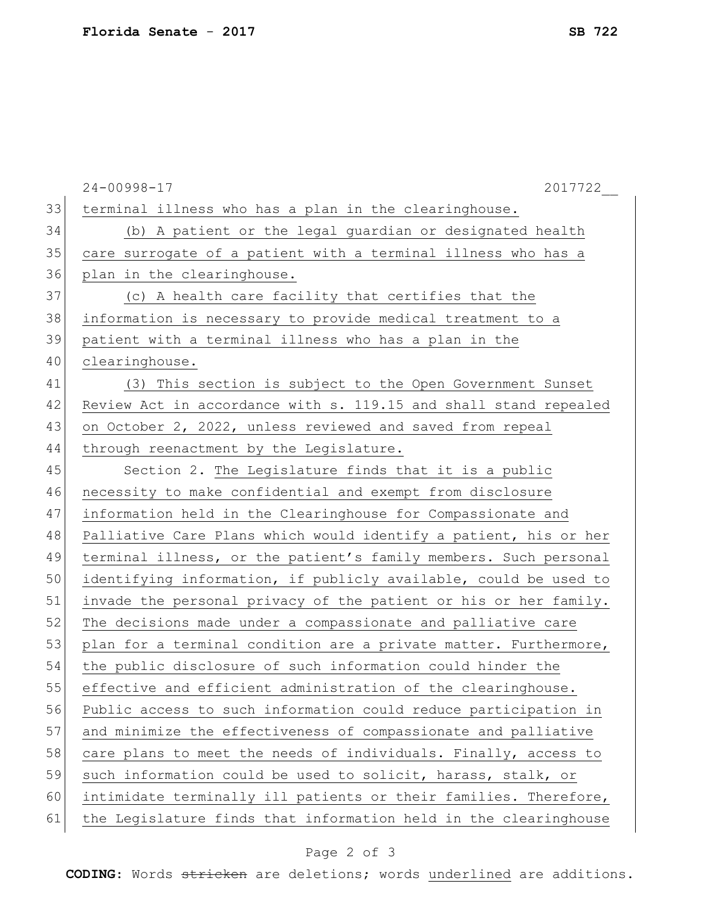|    | $24 - 00998 - 17$<br>2017722                                     |
|----|------------------------------------------------------------------|
| 33 | terminal illness who has a plan in the clearinghouse.            |
| 34 | (b) A patient or the legal guardian or designated health         |
| 35 | care surrogate of a patient with a terminal illness who has a    |
| 36 | plan in the clearinghouse.                                       |
| 37 | (c) A health care facility that certifies that the               |
| 38 | information is necessary to provide medical treatment to a       |
| 39 | patient with a terminal illness who has a plan in the            |
| 40 | clearinghouse.                                                   |
| 41 | (3) This section is subject to the Open Government Sunset        |
| 42 | Review Act in accordance with s. 119.15 and shall stand repealed |
| 43 | on October 2, 2022, unless reviewed and saved from repeal        |
| 44 | through reenactment by the Legislature.                          |
| 45 | Section 2. The Legislature finds that it is a public             |
| 46 | necessity to make confidential and exempt from disclosure        |
| 47 | information held in the Clearinghouse for Compassionate and      |
| 48 | Palliative Care Plans which would identify a patient, his or her |
| 49 | terminal illness, or the patient's family members. Such personal |
| 50 | identifying information, if publicly available, could be used to |
| 51 | invade the personal privacy of the patient or his or her family. |
| 52 | The decisions made under a compassionate and palliative care     |
| 53 | plan for a terminal condition are a private matter. Furthermore, |
| 54 | the public disclosure of such information could hinder the       |
| 55 | effective and efficient administration of the clearinghouse.     |
| 56 | Public access to such information could reduce participation in  |
| 57 | and minimize the effectiveness of compassionate and palliative   |
| 58 | care plans to meet the needs of individuals. Finally, access to  |
| 59 | such information could be used to solicit, harass, stalk, or     |
| 60 | intimidate terminally ill patients or their families. Therefore, |
| 61 | the Legislature finds that information held in the clearinghouse |

## Page 2 of 3

**CODING**: Words stricken are deletions; words underlined are additions.